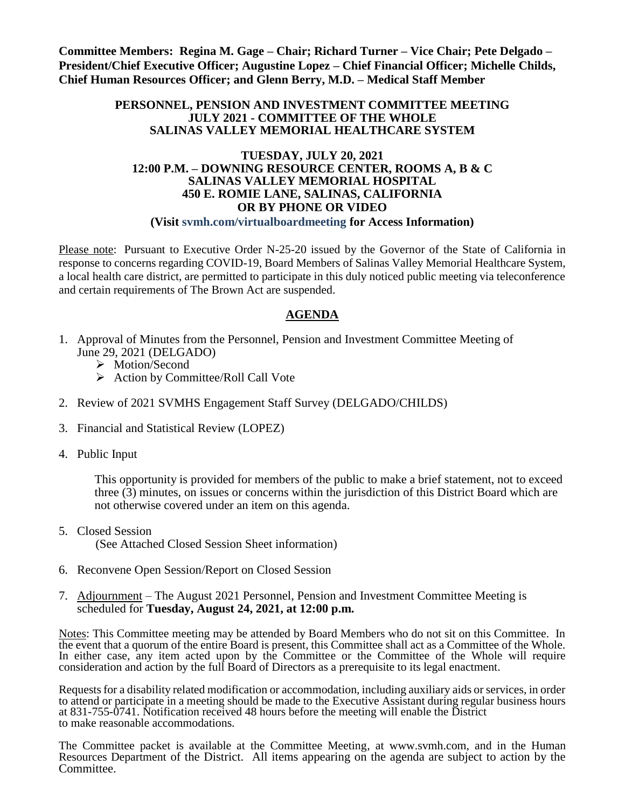**Committee Members: Regina M. Gage – Chair; Richard Turner – Vice Chair; Pete Delgado – President/Chief Executive Officer; Augustine Lopez – Chief Financial Officer; Michelle Childs, Chief Human Resources Officer; and Glenn Berry, M.D. – Medical Staff Member**

#### **PERSONNEL, PENSION AND INVESTMENT COMMITTEE MEETING JULY 2021 - COMMITTEE OF THE WHOLE SALINAS VALLEY MEMORIAL HEALTHCARE SYSTEM**

#### **TUESDAY, JULY 20, 2021 12:00 P.M. – DOWNING RESOURCE CENTER, ROOMS A, B & C SALINAS VALLEY MEMORIAL HOSPITAL 450 E. ROMIE LANE, SALINAS, CALIFORNIA OR BY PHONE OR VIDEO (Visit svmh.com/virtualboardmeeting for Access Information)**

Please note: Pursuant to Executive Order N-25-20 issued by the Governor of the State of California in response to concerns regarding COVID-19, Board Members of Salinas Valley Memorial Healthcare System, a local health care district, are permitted to participate in this duly noticed public meeting via teleconference and certain requirements of The Brown Act are suspended.

# **AGENDA**

- 1. Approval of Minutes from the Personnel, Pension and Investment Committee Meeting of June 29, 2021 (DELGADO)
	- > Motion/Second
	- Action by Committee/Roll Call Vote
- 2. Review of 2021 SVMHS Engagement Staff Survey (DELGADO/CHILDS)
- 3. Financial and Statistical Review (LOPEZ)
- 4. Public Input

This opportunity is provided for members of the public to make a brief statement, not to exceed three (3) minutes, on issues or concerns within the jurisdiction of this District Board which are not otherwise covered under an item on this agenda.

- 5. Closed Session (See Attached Closed Session Sheet information)
- 6. Reconvene Open Session/Report on Closed Session
- 7. Adjournment The August 2021 Personnel, Pension and Investment Committee Meeting is scheduled for **Tuesday, August 24, 2021, at 12:00 p.m.**

Notes: This Committee meeting may be attended by Board Members who do not sit on this Committee. In the event that a quorum of the entire Board is present, this Committee shall act as a Committee of the Whole. In either case, any item acted upon by the Committee or the Committee of the Whole will require consideration and action by the full Board of Directors as a prerequisite to its legal enactment.

Requests for a disability related modification or accommodation, including auxiliary aids or services, in order to attend or participate in a meeting should be made to the Executive Assistant during regular business hours at 831-755-0741. Notification received 48 hours before the meeting will enable the District to make reasonable accommodations.

The Committee packet is available at the Committee Meeting, at [www.svmh.com,](http://www.svmh.com/) and in the Human Resources Department of the District. All items appearing on the agenda are subject to action by the Committee.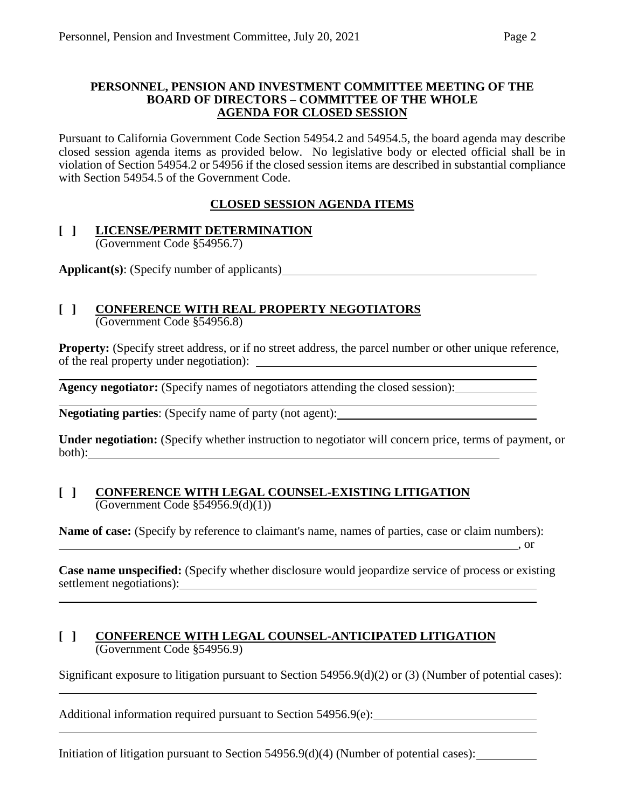#### **PERSONNEL, PENSION AND INVESTMENT COMMITTEE MEETING OF THE BOARD OF DIRECTORS – COMMITTEE OF THE WHOLE AGENDA FOR CLOSED SESSION**

Pursuant to California Government Code Section 54954.2 and 54954.5, the board agenda may describe closed session agenda items as provided below. No legislative body or elected official shall be in violation of Section 54954.2 or 54956 if the closed session items are described in substantial compliance with Section 54954.5 of the Government Code.

# **CLOSED SESSION AGENDA ITEMS**

#### **[ ] LICENSE/PERMIT DETERMINATION** (Government Code §54956.7)

**Applicant(s)**: (Specify number of applicants)

### **[ ] CONFERENCE WITH REAL PROPERTY NEGOTIATORS** (Government Code §54956.8)

**Property:** (Specify street address, or if no street address, the parcel number or other unique reference, of the real property under negotiation):

**Agency negotiator:** (Specify names of negotiators attending the closed session):

**Negotiating parties**: (Specify name of party (not agent):

**Under negotiation:** (Specify whether instruction to negotiator will concern price, terms of payment, or both):

## **[ ] CONFERENCE WITH LEGAL COUNSEL-EXISTING LITIGATION** (Government Code §54956.9(d)(1))

**Name of case:** (Specify by reference to claimant's name, names of parties, case or claim numbers): , or

**Case name unspecified:** (Specify whether disclosure would jeopardize service of process or existing settlement negotiations):

## **[ ] CONFERENCE WITH LEGAL COUNSEL-ANTICIPATED LITIGATION** (Government Code §54956.9)

Significant exposure to litigation pursuant to Section 54956.9(d)(2) or (3) (Number of potential cases):

Additional information required pursuant to Section 54956.9(e):

Initiation of litigation pursuant to Section 54956.9(d)(4) (Number of potential cases):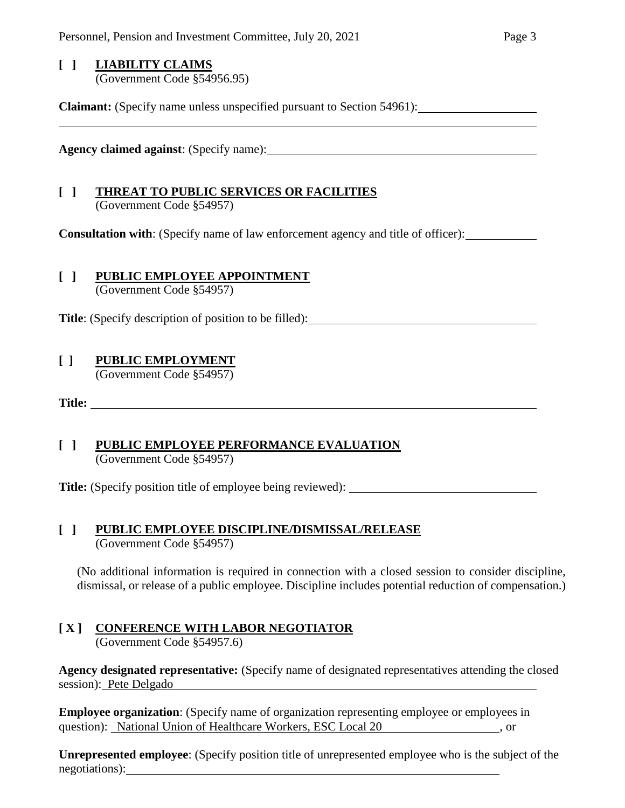## **[ ] LIABILITY CLAIMS**

(Government Code §54956.95)

**Claimant:** (Specify name unless unspecified pursuant to Section 54961):

**Agency claimed against**: (Specify name):

### **[ ] THREAT TO PUBLIC SERVICES OR FACILITIES** (Government Code §54957)

**Consultation with**: (Specify name of law enforcement agency and title of officer):

### **[ ] PUBLIC EMPLOYEE APPOINTMENT** (Government Code §54957)

**Title**: (Specify description of position to be filled):

# **[ ] PUBLIC EMPLOYMENT**

(Government Code §54957)

**Title:** 

## **[ ] PUBLIC EMPLOYEE PERFORMANCE EVALUATION** (Government Code §54957)

**Title:** (Specify position title of employee being reviewed):

## **[ ] PUBLIC EMPLOYEE DISCIPLINE/DISMISSAL/RELEASE** (Government Code §54957)

(No additional information is required in connection with a closed session to consider discipline, dismissal, or release of a public employee. Discipline includes potential reduction of compensation.)

# **[ X ] CONFERENCE WITH LABOR NEGOTIATOR**

(Government Code §54957.6)

**Agency designated representative:** (Specify name of designated representatives attending the closed session): Pete Delgado

**Employee organization**: (Specify name of organization representing employee or employees in question): National Union of Healthcare Workers, ESC Local 20 , or

**Unrepresented employee**: (Specify position title of unrepresented employee who is the subject of the negotiations):